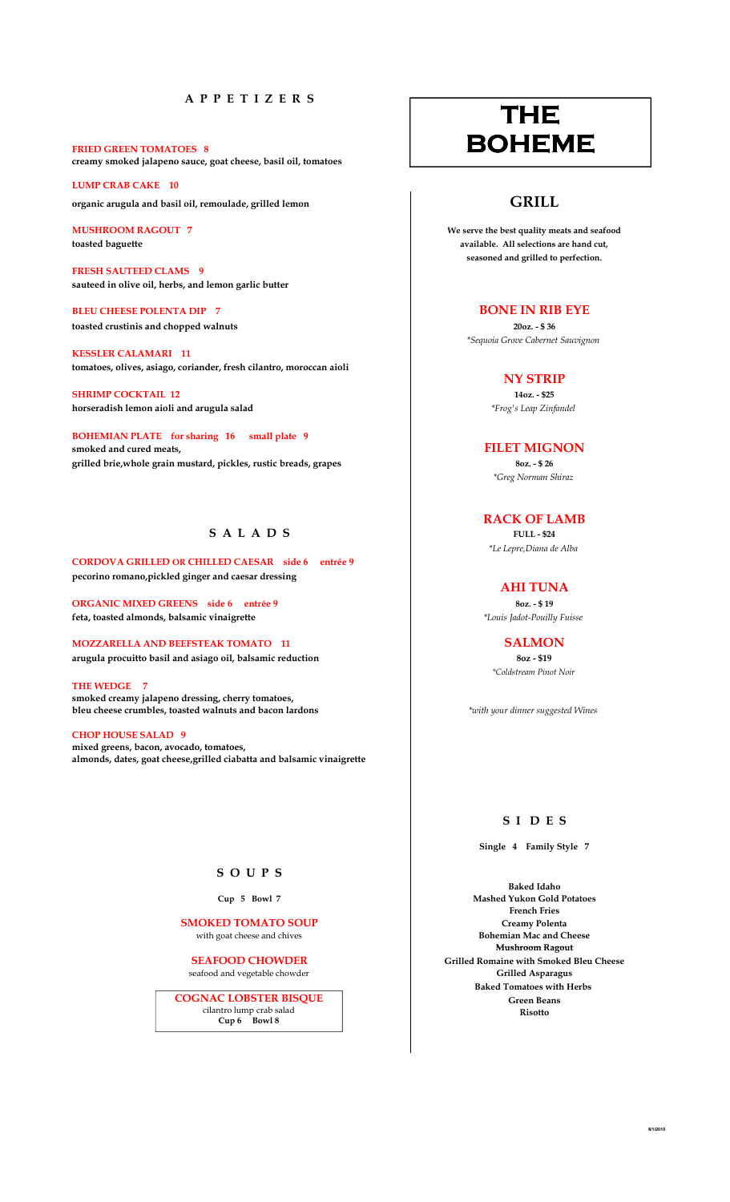## A P P E T I Z E R S

FRIED GREEN TOMATOES 8 creamy smoked jalapeno sauce, goat cheese, basil oil, tomatoes

LUMP CRAB CAKE 10 organic arugula and basil oil, remoulade, grilled lemon  $\qquad \qquad$   $\qquad \qquad$   $\qquad \qquad$   $\qquad \qquad$   $\qquad \qquad$   $\qquad \qquad$   $\qquad \qquad$   $\qquad \qquad$   $\qquad \qquad$   $\qquad \qquad$   $\qquad \qquad$   $\qquad \qquad$   $\qquad \qquad$   $\qquad \qquad$   $\qquad \qquad$   $\qquad \qquad$   $\qquad \qquad$   $\qquad \qquad$   $\q$ 

FRESH SAUTEED CLAMS 9 sauteed in olive oil, herbs, and lemon garlic butter

BLEU CHEESE POLENTA DIP 7 BONE IN RIB EYE toasted crustinis and chopped walnuts 2002. - \$ 36

KESSLER CALAMARI 11 tomatoes, olives, asiago, coriander, fresh cilantro, moroccan aioli

 $SHRIMP$  COCKTAIL 12 14oz - \$25 horseradish lemon aioli and arugula salad  $*Frog's \textit{L}ap \textit{Zinfandel}$ 

BOHEMIAN PLATE for sharing 16 small plate 9 smoked and cured meats, the control of the control of the control of the control of the control of the control of the control of the control of the control of the control of the control of the control of the control of the grilled brie, whole grain mustard, pickles, rustic breads, grapes 802. - \$ 26 802. - \$ 26

## $S$  A L A D S

CORDOVA GRILLED OR CHILLED CAESAR side 6 entrée 9 pecorino romano,pickled ginger and caesar dressing

ORGANIC MIXED GREENS side 6 entrée 9 80z. - \$ 19 feta, toasted almonds, balsamic vinaigrette the state of the state of the state of the state of the state of the state of the state of the state of the state of the state of the state of the state of the state of the state

MOZZARELLA AND BEEFSTEAK TOMATO 11 SALMON arugula procuitto basil and asiago oil, balsamic reduction 802 - \$19  $8$ oz - \$19

THE WEDGE 7 smoked creamy jalapeno dressing, cherry tomatoes, bleu cheese crumbles, toasted walnuts and bacon lardons **the state of the state of the state of the state of the state of the state of the state of the state of the state of the state of the state of the state of the state** 

CHOP HOUSE SALAD 9 mixed greens, bacon, avocado, tomatoes, almonds, dates, goat cheese,grilled ciabatta and balsamic vinaigrette

# THE BOHEME

MUSHROOM RAGOUT 7 We serve the best quality meats and seafood toasted baguette available. All selections are hand cut, the selections are hand cut, seasoned and grilled to perfection.

\*Sequoia Grove Cabernet Sauvignon

NY STRIP

\*Greg Norman Shiraz

RACK OF LAMB<br>FULL - \$24 \*Le Lepre,Diana de Alba

AHI TUNA

\*Coldstream Pinot Noir

## S I D E S

Single 4 Family Style 7

Baked Idaho Cup 5 Bowl 7 Mashed Yukon Gold Potatoes French Fries SMOKED TOMATO SOUP<br>
with goat cheese and chives<br>
Feaming Mac and Cheese<br>
Bohemian Mac and Cheese Mushroom Ragout SEAFOOD CHOWDER Grilled Romaine with Smoked Bleu Cheese Seafood and vegetable chowder Cheese Seafood and vegetable chowder Baked Tomatoes with Herbs Green Beans Risotto

### S O U P S

with goat cheese and chives

seafood and vegetable chowder

COGNAC LOBSTER BISQUE cilantro lump crab salad Cup 6 Bowl 8